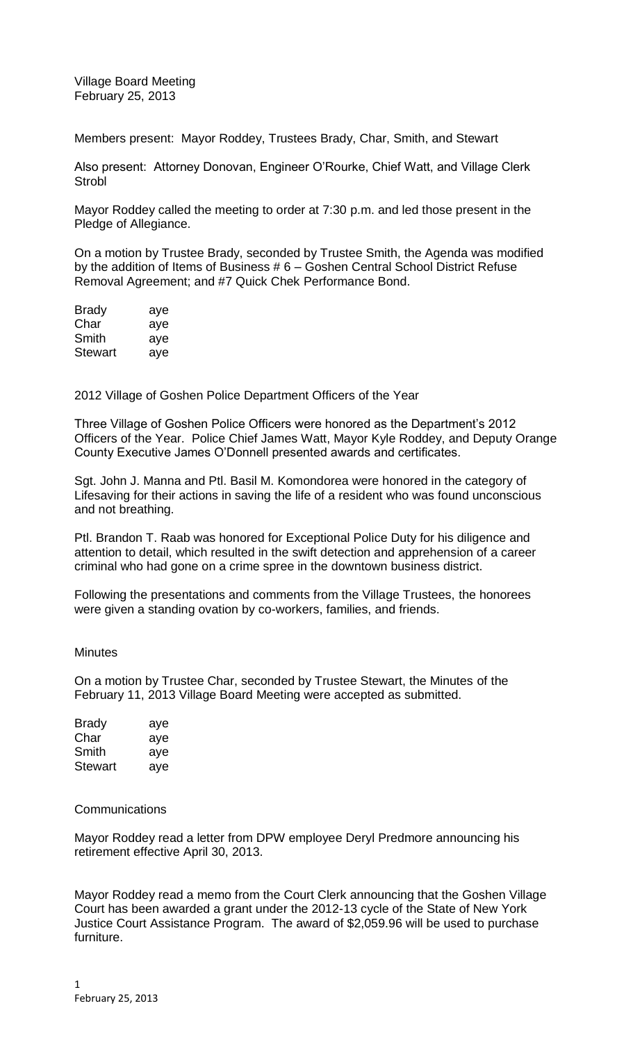Village Board Meeting February 25, 2013

Members present: Mayor Roddey, Trustees Brady, Char, Smith, and Stewart

Also present: Attorney Donovan, Engineer O'Rourke, Chief Watt, and Village Clerk **Strobl** 

Mayor Roddey called the meeting to order at 7:30 p.m. and led those present in the Pledge of Allegiance.

On a motion by Trustee Brady, seconded by Trustee Smith, the Agenda was modified by the addition of Items of Business # 6 – Goshen Central School District Refuse Removal Agreement; and #7 Quick Chek Performance Bond.

| <b>Brady</b> | aye |
|--------------|-----|
| Char         | aye |
| Smith        | aye |
| Stewart      | aye |

2012 Village of Goshen Police Department Officers of the Year

Three Village of Goshen Police Officers were honored as the Department's 2012 Officers of the Year. Police Chief James Watt, Mayor Kyle Roddey, and Deputy Orange County Executive James O'Donnell presented awards and certificates.

Sgt. John J. Manna and Ptl. Basil M. Komondorea were honored in the category of Lifesaving for their actions in saving the life of a resident who was found unconscious and not breathing.

Ptl. Brandon T. Raab was honored for Exceptional Police Duty for his diligence and attention to detail, which resulted in the swift detection and apprehension of a career criminal who had gone on a crime spree in the downtown business district.

Following the presentations and comments from the Village Trustees, the honorees were given a standing ovation by co-workers, families, and friends.

### **Minutes**

On a motion by Trustee Char, seconded by Trustee Stewart, the Minutes of the February 11, 2013 Village Board Meeting were accepted as submitted.

| Brady          | aye |
|----------------|-----|
| Char           | aye |
| Smith          | aye |
| <b>Stewart</b> | aye |

### **Communications**

Mayor Roddey read a letter from DPW employee Deryl Predmore announcing his retirement effective April 30, 2013.

Mayor Roddey read a memo from the Court Clerk announcing that the Goshen Village Court has been awarded a grant under the 2012-13 cycle of the State of New York Justice Court Assistance Program. The award of \$2,059.96 will be used to purchase furniture.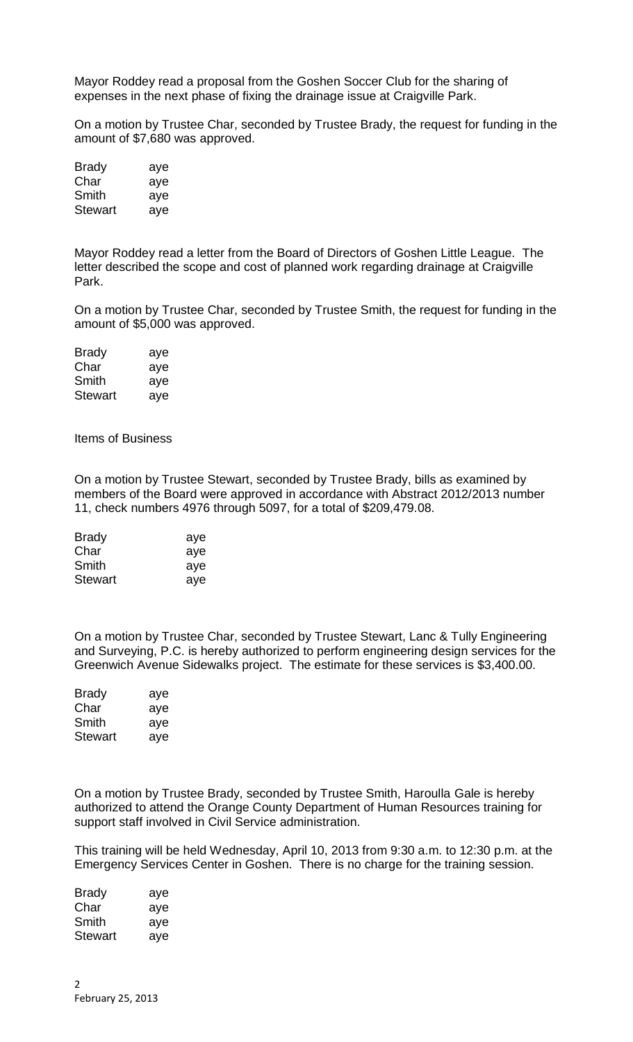Mayor Roddey read a proposal from the Goshen Soccer Club for the sharing of expenses in the next phase of fixing the drainage issue at Craigville Park.

On a motion by Trustee Char, seconded by Trustee Brady, the request for funding in the amount of \$7,680 was approved.

| <b>Brady</b> | aye |
|--------------|-----|
| Char         | aye |
| Smith        | aye |
| Stewart      | aye |

Mayor Roddey read a letter from the Board of Directors of Goshen Little League. The letter described the scope and cost of planned work regarding drainage at Craigville Park.

On a motion by Trustee Char, seconded by Trustee Smith, the request for funding in the amount of \$5,000 was approved.

| <b>Brady</b>   | aye |
|----------------|-----|
| Char           | aye |
| Smith          | aye |
| <b>Stewart</b> | aye |

Items of Business

On a motion by Trustee Stewart, seconded by Trustee Brady, bills as examined by members of the Board were approved in accordance with Abstract 2012/2013 number 11, check numbers 4976 through 5097, for a total of \$209,479.08.

| <b>Brady</b>   | aye |
|----------------|-----|
| Char           | aye |
| Smith          | aye |
| <b>Stewart</b> | aye |

On a motion by Trustee Char, seconded by Trustee Stewart, Lanc & Tully Engineering and Surveying, P.C. is hereby authorized to perform engineering design services for the Greenwich Avenue Sidewalks project. The estimate for these services is \$3,400.00.

| <b>Brady</b> | aye |
|--------------|-----|
| Char         | aye |
| Smith        | aye |
| Stewart      | aye |

On a motion by Trustee Brady, seconded by Trustee Smith, Haroulla Gale is hereby authorized to attend the Orange County Department of Human Resources training for support staff involved in Civil Service administration.

This training will be held Wednesday, April 10, 2013 from 9:30 a.m. to 12:30 p.m. at the Emergency Services Center in Goshen. There is no charge for the training session.

| Brady          | aye |
|----------------|-----|
| Char           | aye |
| Smith          | aye |
| <b>Stewart</b> | aye |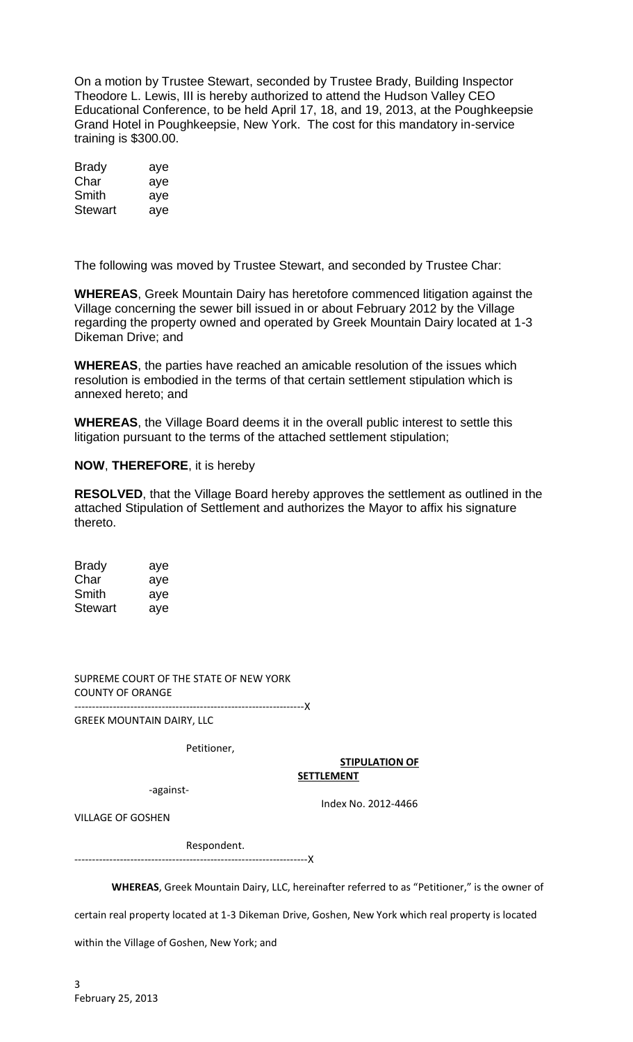On a motion by Trustee Stewart, seconded by Trustee Brady, Building Inspector Theodore L. Lewis, III is hereby authorized to attend the Hudson Valley CEO Educational Conference, to be held April 17, 18, and 19, 2013, at the Poughkeepsie Grand Hotel in Poughkeepsie, New York. The cost for this mandatory in-service training is \$300.00.

| <b>Brady</b>   | aye |
|----------------|-----|
| Char           | aye |
| Smith          | aye |
| <b>Stewart</b> | aye |

The following was moved by Trustee Stewart, and seconded by Trustee Char:

**WHEREAS**, Greek Mountain Dairy has heretofore commenced litigation against the Village concerning the sewer bill issued in or about February 2012 by the Village regarding the property owned and operated by Greek Mountain Dairy located at 1-3 Dikeman Drive; and

**WHEREAS**, the parties have reached an amicable resolution of the issues which resolution is embodied in the terms of that certain settlement stipulation which is annexed hereto; and

**WHEREAS**, the Village Board deems it in the overall public interest to settle this litigation pursuant to the terms of the attached settlement stipulation;

### **NOW**, **THEREFORE**, it is hereby

**RESOLVED**, that the Village Board hereby approves the settlement as outlined in the attached Stipulation of Settlement and authorizes the Mayor to affix his signature thereto.

| <b>Brady</b> | aye |
|--------------|-----|
| Char         | aye |
| Smith        | aye |
| Stewart      | aye |

SUPREME COURT OF THE STATE OF NEW YORK COUNTY OF ORANGE ------------------------------------------------------------------X

GREEK MOUNTAIN DAIRY, LLC

Petitioner,

#### **STIPULATION OF SETTLEMENT**

-against-

Index No. 2012-4466

VILLAGE OF GOSHEN

Respondent.

-------------------------------------------------------------------X

**WHEREAS**, Greek Mountain Dairy, LLC, hereinafter referred to as "Petitioner," is the owner of

certain real property located at 1-3 Dikeman Drive, Goshen, New York which real property is located

within the Village of Goshen, New York; and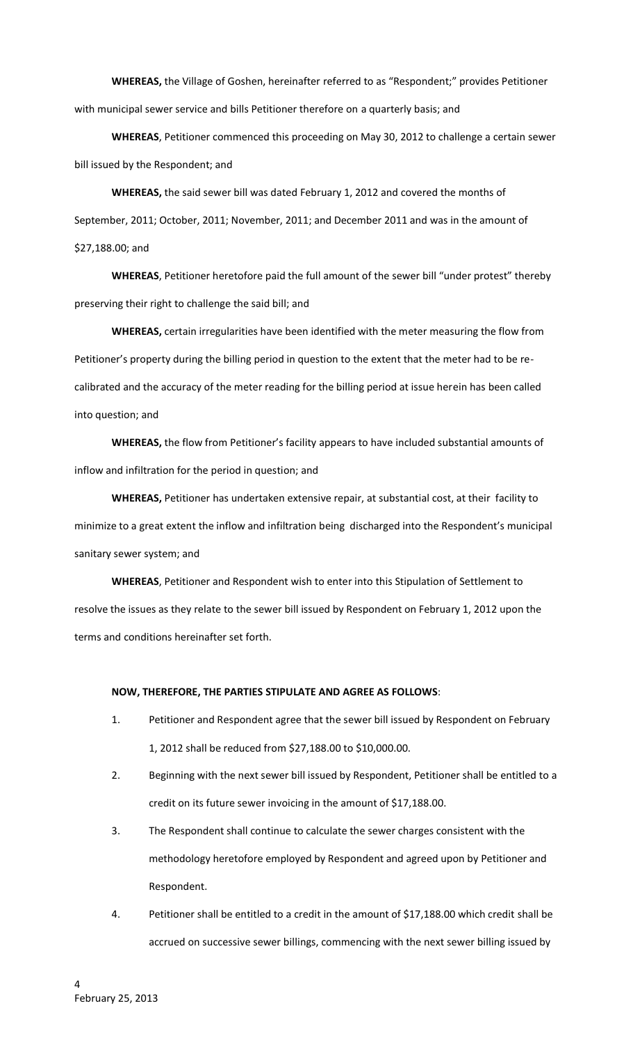**WHEREAS,** the Village of Goshen, hereinafter referred to as "Respondent;" provides Petitioner with municipal sewer service and bills Petitioner therefore on a quarterly basis; and

**WHEREAS**, Petitioner commenced this proceeding on May 30, 2012 to challenge a certain sewer bill issued by the Respondent; and

**WHEREAS,** the said sewer bill was dated February 1, 2012 and covered the months of September, 2011; October, 2011; November, 2011; and December 2011 and was in the amount of \$27,188.00; and

**WHEREAS**, Petitioner heretofore paid the full amount of the sewer bill "under protest" thereby preserving their right to challenge the said bill; and

**WHEREAS,** certain irregularities have been identified with the meter measuring the flow from Petitioner's property during the billing period in question to the extent that the meter had to be recalibrated and the accuracy of the meter reading for the billing period at issue herein has been called into question; and

**WHEREAS,** the flow from Petitioner's facility appears to have included substantial amounts of inflow and infiltration for the period in question; and

**WHEREAS,** Petitioner has undertaken extensive repair, at substantial cost, at their facility to minimize to a great extent the inflow and infiltration being discharged into the Respondent's municipal sanitary sewer system; and

**WHEREAS**, Petitioner and Respondent wish to enter into this Stipulation of Settlement to resolve the issues as they relate to the sewer bill issued by Respondent on February 1, 2012 upon the terms and conditions hereinafter set forth.

#### **NOW, THEREFORE, THE PARTIES STIPULATE AND AGREE AS FOLLOWS**:

- 1. Petitioner and Respondent agree that the sewer bill issued by Respondent on February 1, 2012 shall be reduced from \$27,188.00 to \$10,000.00.
- 2. Beginning with the next sewer bill issued by Respondent, Petitioner shall be entitled to a credit on its future sewer invoicing in the amount of \$17,188.00.
- 3. The Respondent shall continue to calculate the sewer charges consistent with the methodology heretofore employed by Respondent and agreed upon by Petitioner and Respondent.
- 4. Petitioner shall be entitled to a credit in the amount of \$17,188.00 which credit shall be accrued on successive sewer billings, commencing with the next sewer billing issued by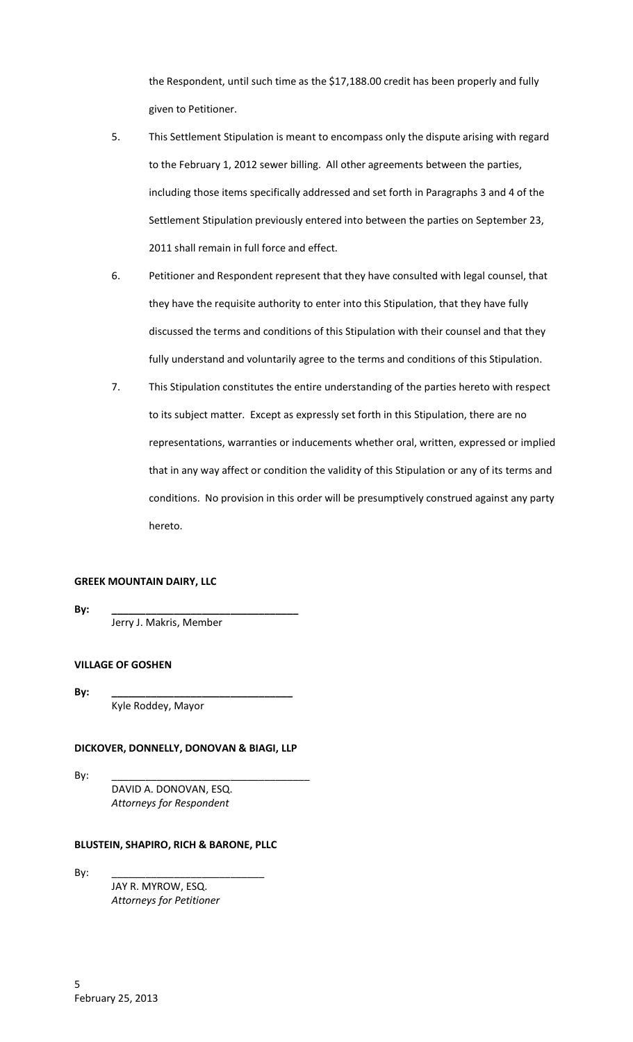the Respondent, until such time as the \$17,188.00 credit has been properly and fully given to Petitioner.

- 5. This Settlement Stipulation is meant to encompass only the dispute arising with regard to the February 1, 2012 sewer billing. All other agreements between the parties, including those items specifically addressed and set forth in Paragraphs 3 and 4 of the Settlement Stipulation previously entered into between the parties on September 23, 2011 shall remain in full force and effect.
- 6. Petitioner and Respondent represent that they have consulted with legal counsel, that they have the requisite authority to enter into this Stipulation, that they have fully discussed the terms and conditions of this Stipulation with their counsel and that they fully understand and voluntarily agree to the terms and conditions of this Stipulation.
- 7. This Stipulation constitutes the entire understanding of the parties hereto with respect to its subject matter. Except as expressly set forth in this Stipulation, there are no representations, warranties or inducements whether oral, written, expressed or implied that in any way affect or condition the validity of this Stipulation or any of its terms and conditions. No provision in this order will be presumptively construed against any party hereto.

### **GREEK MOUNTAIN DAIRY, LLC**

**By: \_\_\_\_\_\_\_\_\_\_\_\_\_\_\_\_\_\_\_\_\_\_\_\_\_\_\_\_\_\_\_\_\_**

Jerry J. Makris, Member

# **VILLAGE OF GOSHEN**

**By: \_\_\_\_\_\_\_\_\_\_\_\_\_\_\_\_\_\_\_\_\_\_\_\_\_\_\_\_\_\_\_\_**

Kyle Roddey, Mayor

### **DICKOVER, DONNELLY, DONOVAN & BIAGI, LLP**

By: \_\_\_\_\_\_\_\_\_\_\_\_\_\_\_\_\_\_\_\_\_\_\_\_\_\_\_\_\_\_\_\_\_\_\_

DAVID A. DONOVAN, ESQ. *Attorneys for Respondent*

#### **BLUSTEIN, SHAPIRO, RICH & BARONE, PLLC**

By: \_\_\_\_\_\_\_\_\_\_\_\_\_\_\_\_\_\_\_\_\_\_\_\_\_\_\_

JAY R. MYROW, ESQ. *Attorneys for Petitioner*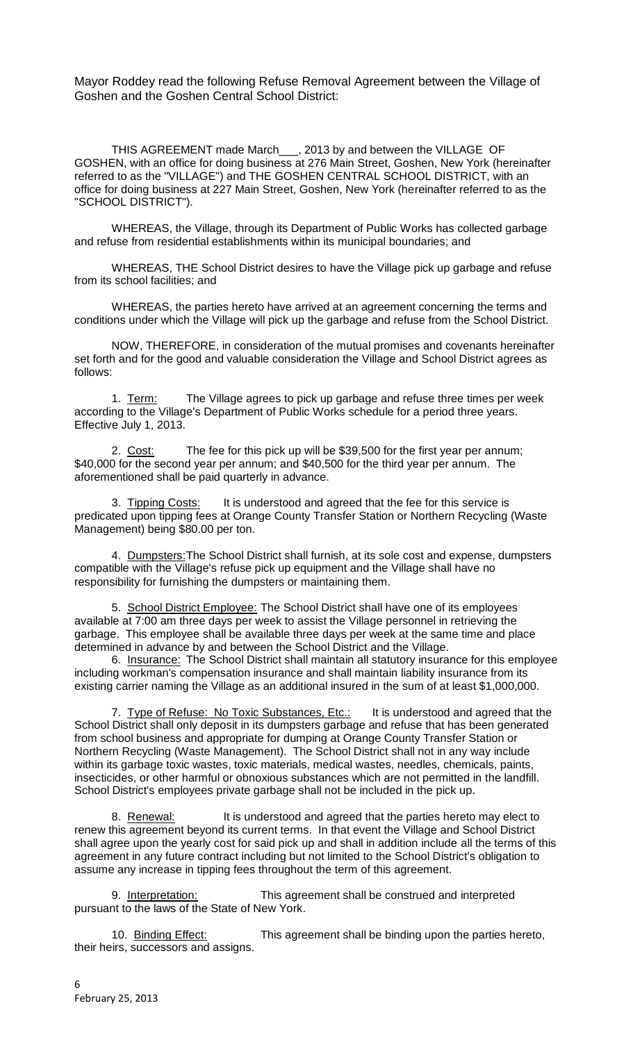Mayor Roddey read the following Refuse Removal Agreement between the Village of Goshen and the Goshen Central School District:

THIS AGREEMENT made March\_\_\_, 2013 by and between the VILLAGE OF GOSHEN, with an office for doing business at 276 Main Street, Goshen, New York (hereinafter referred to as the "VILLAGE") and THE GOSHEN CENTRAL SCHOOL DISTRICT, with an office for doing business at 227 Main Street, Goshen, New York (hereinafter referred to as the "SCHOOL DISTRICT").

WHEREAS, the Village, through its Department of Public Works has collected garbage and refuse from residential establishments within its municipal boundaries; and

WHEREAS, THE School District desires to have the Village pick up garbage and refuse from its school facilities; and

WHEREAS, the parties hereto have arrived at an agreement concerning the terms and conditions under which the Village will pick up the garbage and refuse from the School District.

NOW, THEREFORE, in consideration of the mutual promises and covenants hereinafter set forth and for the good and valuable consideration the Village and School District agrees as follows:

1. Term: The Village agrees to pick up garbage and refuse three times per week according to the Village's Department of Public Works schedule for a period three years. Effective July 1, 2013.

2. Cost: The fee for this pick up will be \$39,500 for the first year per annum; \$40,000 for the second year per annum; and \$40,500 for the third year per annum. The aforementioned shall be paid quarterly in advance.

3. Tipping Costs: It is understood and agreed that the fee for this service is predicated upon tipping fees at Orange County Transfer Station or Northern Recycling (Waste Management) being \$80.00 per ton.

4. Dumpsters:The School District shall furnish, at its sole cost and expense, dumpsters compatible with the Village's refuse pick up equipment and the Village shall have no responsibility for furnishing the dumpsters or maintaining them.

5. School District Employee: The School District shall have one of its employees available at 7:00 am three days per week to assist the Village personnel in retrieving the garbage. This employee shall be available three days per week at the same time and place determined in advance by and between the School District and the Village.

6. Insurance: The School District shall maintain all statutory insurance for this employee including workman's compensation insurance and shall maintain liability insurance from its existing carrier naming the Village as an additional insured in the sum of at least \$1,000,000.

7. Type of Refuse: No Toxic Substances, Etc.: It is understood and agreed that the School District shall only deposit in its dumpsters garbage and refuse that has been generated from school business and appropriate for dumping at Orange County Transfer Station or Northern Recycling (Waste Management). The School District shall not in any way include within its garbage toxic wastes, toxic materials, medical wastes, needles, chemicals, paints, insecticides, or other harmful or obnoxious substances which are not permitted in the landfill. School District's employees private garbage shall not be included in the pick up.

8. Renewal: It is understood and agreed that the parties hereto may elect to renew this agreement beyond its current terms. In that event the Village and School District shall agree upon the yearly cost for said pick up and shall in addition include all the terms of this agreement in any future contract including but not limited to the School District's obligation to assume any increase in tipping fees throughout the term of this agreement.

9. Interpretation: This agreement shall be construed and interpreted pursuant to the laws of the State of New York.

10. Binding Effect: This agreement shall be binding upon the parties hereto, their heirs, successors and assigns.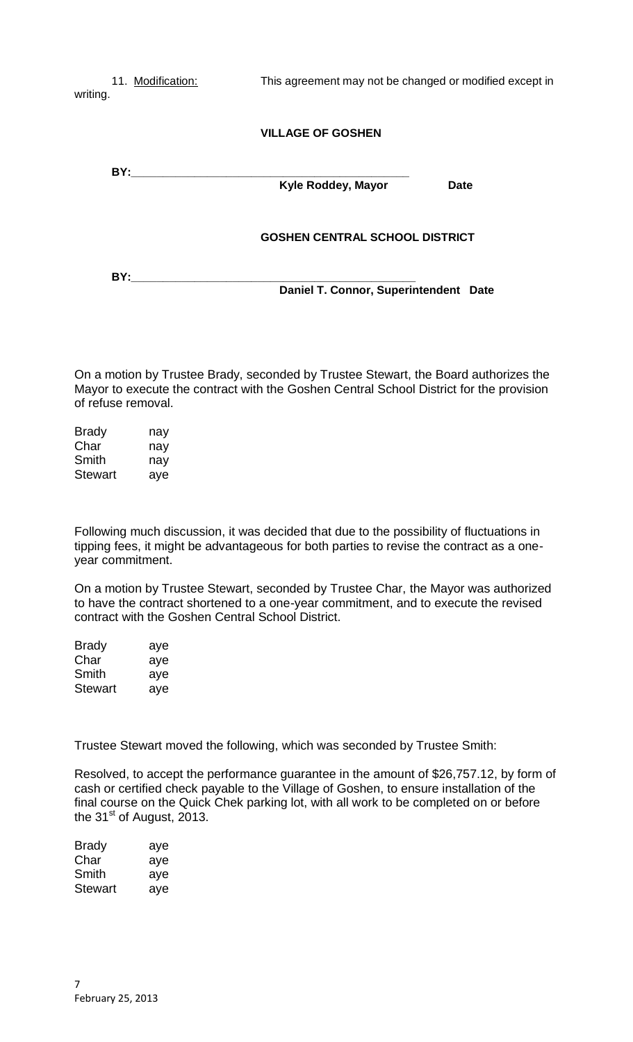11. Modification: This agreement may not be changed or modified except in writing. **VILLAGE OF GOSHEN BY: Kyle Roddey, Mayor Date GOSHEN CENTRAL SCHOOL DISTRICT**

**BY:\_\_\_\_\_\_\_\_\_\_\_\_\_\_\_\_\_\_\_\_\_\_\_\_\_\_\_\_\_\_\_\_\_\_\_\_\_\_\_\_\_\_\_\_\_ Daniel T. Connor, Superintendent Date**

On a motion by Trustee Brady, seconded by Trustee Stewart, the Board authorizes the Mayor to execute the contract with the Goshen Central School District for the provision of refuse removal.

| <b>Brady</b>   | nay |
|----------------|-----|
| Char           | nay |
| Smith          | nav |
| <b>Stewart</b> | aye |

Following much discussion, it was decided that due to the possibility of fluctuations in tipping fees, it might be advantageous for both parties to revise the contract as a oneyear commitment.

On a motion by Trustee Stewart, seconded by Trustee Char, the Mayor was authorized to have the contract shortened to a one-year commitment, and to execute the revised contract with the Goshen Central School District.

| <b>Brady</b>   | aye |
|----------------|-----|
| Char           | aye |
| Smith          | aye |
| <b>Stewart</b> | aye |

Trustee Stewart moved the following, which was seconded by Trustee Smith:

Resolved, to accept the performance guarantee in the amount of \$26,757.12, by form of cash or certified check payable to the Village of Goshen, to ensure installation of the final course on the Quick Chek parking lot, with all work to be completed on or before the  $31<sup>st</sup>$  of August, 2013.

| Brady   | aye |
|---------|-----|
| Char    | aye |
| Smith   | aye |
| Stewart | aye |